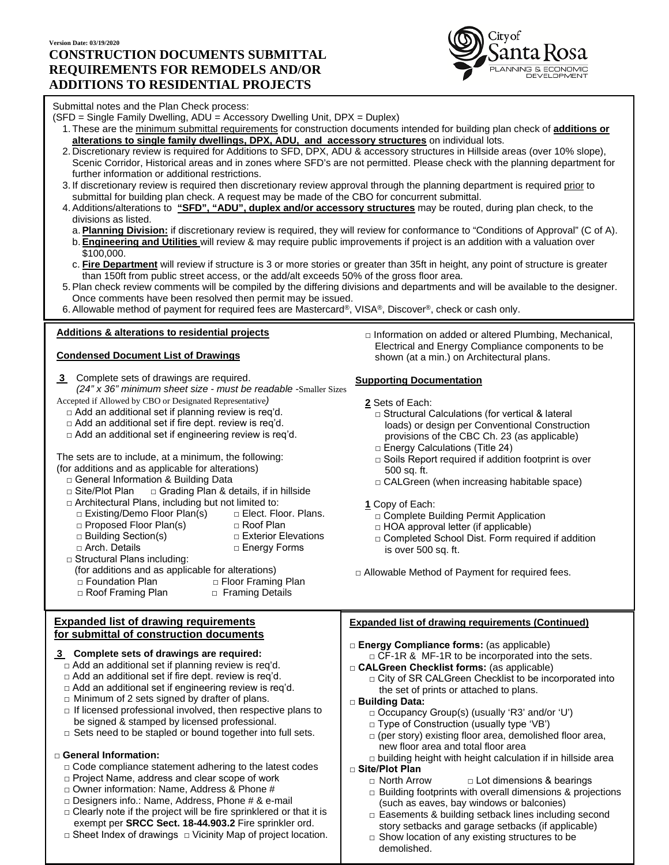# **Version Date: 03/19/2020 CONSTRUCTION DOCUMENTS SUBMITTAL REQUIREMENTS FOR REMODELS AND/OR ADDITIONS TO RESIDENTIAL PROJECTS**



### Submittal notes and the Plan Check process:

- (SFD = Single Family Dwelling, ADU = Accessory Dwelling Unit, DPX = Duplex)
	- 1. These are the minimum submittal requirements for construction documents intended for building plan check of **additions or alterations to single family dwellings, DPX, ADU, and accessory structures** on individual lots.
	- 2. Discretionary review is required for Additions to SFD, DPX, ADU & accessory structures in Hillside areas (over 10% slope), Scenic Corridor, Historical areas and in zones where SFD's are not permitted. Please check with the planning department for further information or additional restrictions.
	- 3. If discretionary review is required then discretionary review approval through the planning department is required prior to submittal for building plan check. A request may be made of the CBO for concurrent submittal.
	- 4.Additions/alterations to **"SFD", "ADU", duplex and/or accessory structures** may be routed, during plan check, to the divisions as listed.
		- a.**Planning Division:** if discretionary review is required, they will review for conformance to "Conditions of Approval" (C of A).
		- b.**Engineering and Utilities** will review & may require public improvements if project is an addition with a valuation over \$100,000.
		- c. **Fire Department** will review if structure is 3 or more stories or greater than 35ft in height, any point of structure is greater than 150ft from public street access, or the add/alt exceeds 50% of the gross floor area.
	- 5.Plan check review comments will be compiled by the differing divisions and departments and will be available to the designer. Once comments have been resolved then permit may be issued.
	- 6.Allowable method of payment for required fees are Mastercard®, VISA®, Discover®, check or cash only.

## **Additions & alterations to residential projects**

### **Condensed Document List of Drawings**

**3** Complete sets of drawings are required. *(24" x 36" minimum sheet size - must be readable -*Smaller Sizes

Accepted if Allowed by CBO or Designated Representative*)*

- $\Box$  Add an additional set if planning review is req'd.
- □ Add an additional set if fire dept. review is req'd.
- □ Add an additional set if engineering review is req'd.

The sets are to include, at a minimum, the following:

- (for additions and as applicable for alterations)
	- □ General Information & Building Data
	- □ Site/Plot Plan □ Grading Plan & details, if in hillside
	- □ Architectural Plans, including but not limited to:<br>□ Existing/Demo Floor Plan(s) □ Elect. Floor. Plans.
		- □ Existing/Demo Floor Plan(s) □ Elect. Floo<br>□ Proposed Floor Plan(s) □ Roof Plan
		- □ Proposed Floor Plan(s)
		- □ Building Section(s) □ Exterior Elevations
			-
		- □ Arch. Details □ □ Energy Forms
	- □ Structural Plans including:
	- (for additions and as applicable for alterations)<br>□ Floor Framin
	-
	- □ Floor Framing Plan □ Roof Framing Plan □ Framing Details

### **Expanded list of drawing requirements for submittal of construction documents**

## **3 Complete sets of drawings are required:**

- □ Add an additional set if planning review is req'd.
- □ Add an additional set if fire dept. review is req'd.
- □ Add an additional set if engineering review is req'd.
- $\Box$  Minimum of 2 sets signed by drafter of plans.
- $\Box$  If licensed professional involved, then respective plans to be signed & stamped by licensed professional.
- □ Sets need to be stapled or bound together into full sets.

## □ **General Information:**

- $\Box$  Code compliance statement adhering to the latest codes
- □ Project Name, address and clear scope of work
- □ Owner information: Name, Address & Phone #
- □ Designers info.: Name, Address, Phone # & e-mail
- $\Box$  Clearly note if the project will be fire sprinklered or that it is exempt per **SRCC Sect. 18-44.903.2** Fire sprinkler ord.
- □ Sheet Index of drawings □ Vicinity Map of project location.

□ Information on added or altered Plumbing, Mechanical, Electrical and Energy Compliance components to be shown (at a min.) on Architectural plans.

### **Supporting Documentation**

- **2** Sets of Each:
	- □ Structural Calculations (for vertical & lateral loads) or design per Conventional Construction provisions of the CBC Ch. 23 (as applicable)
	- □ Energy Calculations (Title 24)
	- $\Box$  Soils Report required if addition footprint is over 500 sq. ft.
	- □ CALGreen (when increasing habitable space)
- **1** Copy of Each:
	- □ Complete Building Permit Application
	- $\Box$  HOA approval letter (if applicable)
	- □ Completed School Dist. Form required if addition is over 500 sq. ft.
- □ Allowable Method of Payment for required fees.

# **Expanded list of drawing requirements (Continued)**

- **□ Energy Compliance forms:** (as applicable)
- $\Box$  CF-1R & MF-1R to be incorporated into the sets. **□ CALGreen Checklist forms:** (as applicable)
	- □ City of SR CALGreen Checklist to be incorporated into the set of prints or attached to plans.
- **□ Building Data:**
	- □ Occupancy Group(s) (usually 'R3' and/or 'U')
	- □ Type of Construction (usually type 'VB')
	- $\Box$  (per story) existing floor area, demolished floor area, new floor area and total floor area
	- $\Box$  building height with height calculation if in hillside area

# **□ Site/Plot Plan**

- □ Lot dimensions & bearings
- $\Box$  Building footprints with overall dimensions & projections (such as eaves, bay windows or balconies)
- □ Easements & building setback lines including second story setbacks and garage setbacks (if applicable)
- $\Box$  Show location of any existing structures to be demolished.